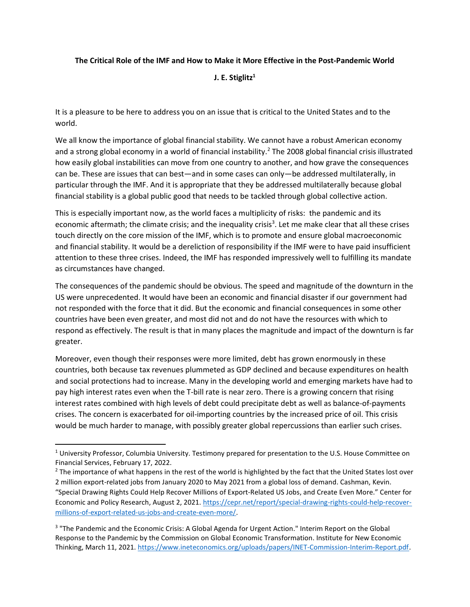## The Critical Role of the IMF and How to Make it More Effective in the Post-Pandemic World

J. E. Stiglitz $1$ 

It is a pleasure to be here to address you on an issue that is critical to the United States and to the world.

We all know the importance of global financial stability. We cannot have a robust American economy and a strong global economy in a world of financial instability.<sup>2</sup> The 2008 global financial crisis illustrated how easily global instabilities can move from one country to another, and how grave the consequences can be. These are issues that can best—and in some cases can only—be addressed multilaterally, in particular through the IMF. And it is appropriate that they be addressed multilaterally because global financial stability is a global public good that needs to be tackled through global collective action.

This is especially important now, as the world faces a multiplicity of risks: the pandemic and its economic aftermath; the climate crisis; and the inequality crisis<sup>3</sup>. Let me make clear that all these crises touch directly on the core mission of the IMF, which is to promote and ensure global macroeconomic and financial stability. It would be a dereliction of responsibility if the IMF were to have paid insufficient attention to these three crises. Indeed, the IMF has responded impressively well to fulfilling its mandate as circumstances have changed.

The consequences of the pandemic should be obvious. The speed and magnitude of the downturn in the US were unprecedented. It would have been an economic and financial disaster if our government had not responded with the force that it did. But the economic and financial consequences in some other countries have been even greater, and most did not and do not have the resources with which to respond as effectively. The result is that in many places the magnitude and impact of the downturn is far greater.

Moreover, even though their responses were more limited, debt has grown enormously in these countries, both because tax revenues plummeted as GDP declined and because expenditures on health and social protections had to increase. Many in the developing world and emerging markets have had to pay high interest rates even when the T-bill rate is near zero. There is a growing concern that rising interest rates combined with high levels of debt could precipitate debt as well as balance-of-payments crises. The concern is exacerbated for oil-importing countries by the increased price of oil. This crisis would be much harder to manage, with possibly greater global repercussions than earlier such crises.

<sup>&</sup>lt;sup>1</sup> University Professor, Columbia University. Testimony prepared for presentation to the U.S. House Committee on Financial Services, February 17, 2022.

<sup>&</sup>lt;sup>2</sup> The importance of what happens in the rest of the world is highlighted by the fact that the United States lost over 2 million export-related jobs from January 2020 to May 2021 from a global loss of demand. Cashman, Kevin. "Special Drawing Rights Could Help Recover Millions of Export-Related US Jobs, and Create Even More." Center for Economic and Policy Research, August 2, 2021. https://cepr.net/report/special-drawing-rights-could-help-recovermillions-of-export-related-us-jobs-and-create-even-more/.

<sup>&</sup>lt;sup>3</sup> "The Pandemic and the Economic Crisis: A Global Agenda for Urgent Action." Interim Report on the Global Response to the Pandemic by the Commission on Global Economic Transformation. Institute for New Economic Thinking, March 11, 2021. https://www.ineteconomics.org/uploads/papers/INET-Commission-Interim-Report.pdf.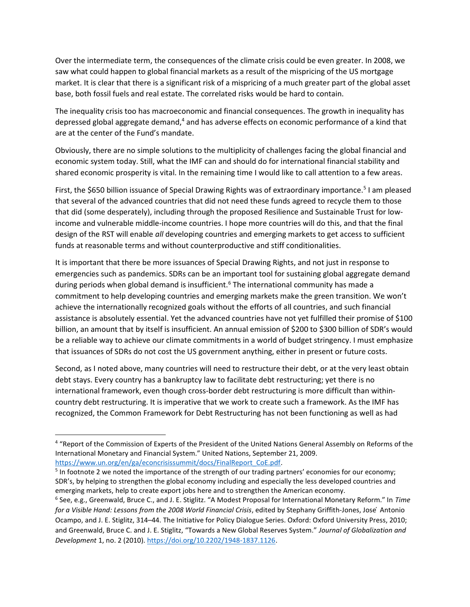Over the intermediate term, the consequences of the climate crisis could be even greater. In 2008, we saw what could happen to global financial markets as a result of the mispricing of the US mortgage market. It is clear that there is a significant risk of a mispricing of a much greater part of the global asset base, both fossil fuels and real estate. The correlated risks would be hard to contain.

The inequality crisis too has macroeconomic and financial consequences. The growth in inequality has depressed global aggregate demand,<sup>4</sup> and has adverse effects on economic performance of a kind that are at the center of the Fund's mandate.

Obviously, there are no simple solutions to the multiplicity of challenges facing the global financial and economic system today. Still, what the IMF can and should do for international financial stability and shared economic prosperity is vital. In the remaining time I would like to call attention to a few areas.

First, the \$650 billion issuance of Special Drawing Rights was of extraordinary importance.<sup>5</sup> I am pleased that several of the advanced countries that did not need these funds agreed to recycle them to those that did (some desperately), including through the proposed Resilience and Sustainable Trust for lowincome and vulnerable middle-income countries. I hope more countries will do this, and that the final design of the RST will enable all developing countries and emerging markets to get access to sufficient funds at reasonable terms and without counterproductive and stiff conditionalities.

It is important that there be more issuances of Special Drawing Rights, and not just in response to emergencies such as pandemics. SDRs can be an important tool for sustaining global aggregate demand during periods when global demand is insufficient.<sup>6</sup> The international community has made a commitment to help developing countries and emerging markets make the green transition. We won't achieve the internationally recognized goals without the efforts of all countries, and such financial assistance is absolutely essential. Yet the advanced countries have not yet fulfilled their promise of \$100 billion, an amount that by itself is insufficient. An annual emission of \$200 to \$300 billion of SDR's would be a reliable way to achieve our climate commitments in a world of budget stringency. I must emphasize that issuances of SDRs do not cost the US government anything, either in present or future costs.

Second, as I noted above, many countries will need to restructure their debt, or at the very least obtain debt stays. Every country has a bankruptcy law to facilitate debt restructuring; yet there is no international framework, even though cross-border debt restructuring is more difficult than withincountry debt restructuring. It is imperative that we work to create such a framework. As the IMF has recognized, the Common Framework for Debt Restructuring has not been functioning as well as had

<sup>&</sup>lt;sup>4</sup> "Report of the Commission of Experts of the President of the United Nations General Assembly on Reforms of the International Monetary and Financial System." United Nations, September 21, 2009. https://www.un.org/en/ga/econcrisissummit/docs/FinalReport\_CoE.pdf.

<sup>&</sup>lt;sup>5</sup> In footnote 2 we noted the importance of the strength of our trading partners' economies for our economy; SDR's, by helping to strengthen the global economy including and especially the less developed countries and emerging markets, help to create export jobs here and to strengthen the American economy.

<sup>&</sup>lt;sup>6</sup> See, e.g., Greenwald, Bruce C., and J. E. Stiglitz. "A Modest Proposal for International Monetary Reform." In Time for a Visible Hand: Lessons from the 2008 World Financial Crisis, edited by Stephany Griffith-Jones, Jose Antonio Ocampo, and J. E. Stiglitz, 314–44. The Initiative for Policy Dialogue Series. Oxford: Oxford University Press, 2010; and Greenwald, Bruce C. and J. E. Stiglitz, "Towards a New Global Reserves System." Journal of Globalization and Development 1, no. 2 (2010). https://doi.org/10.2202/1948-1837.1126.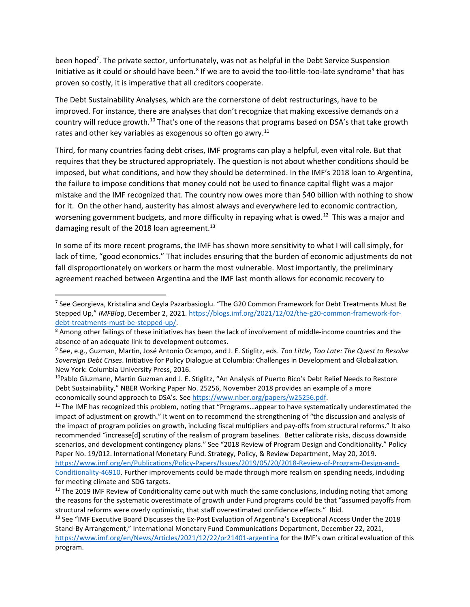been hoped<sup>7</sup>. The private sector, unfortunately, was not as helpful in the Debt Service Suspension Initiative as it could or should have been.<sup>8</sup> If we are to avoid the too-little-too-late syndrome<sup>9</sup> that has proven so costly, it is imperative that all creditors cooperate.

The Debt Sustainability Analyses, which are the cornerstone of debt restructurings, have to be improved. For instance, there are analyses that don't recognize that making excessive demands on a country will reduce growth.<sup>10</sup> That's one of the reasons that programs based on DSA's that take growth rates and other key variables as exogenous so often go awry. $^{11}$ 

Third, for many countries facing debt crises, IMF programs can play a helpful, even vital role. But that requires that they be structured appropriately. The question is not about whether conditions should be imposed, but what conditions, and how they should be determined. In the IMF's 2018 loan to Argentina, the failure to impose conditions that money could not be used to finance capital flight was a major mistake and the IMF recognized that. The country now owes more than \$40 billion with nothing to show for it. On the other hand, austerity has almost always and everywhere led to economic contraction, worsening government budgets, and more difficulty in repaying what is owed.<sup>12</sup> This was a major and damaging result of the 2018 loan agreement.<sup>13</sup>

In some of its more recent programs, the IMF has shown more sensitivity to what I will call simply, for lack of time, "good economics." That includes ensuring that the burden of economic adjustments do not fall disproportionately on workers or harm the most vulnerable. Most importantly, the preliminary agreement reached between Argentina and the IMF last month allows for economic recovery to

 $11$  The IMF has recognized this problem, noting that "Programs...appear to have systematically underestimated the impact of adjustment on growth." It went on to recommend the strengthening of "the discussion and analysis of the impact of program policies on growth, including fiscal multipliers and pay-offs from structural reforms." It also recommended "increase[d] scrutiny of the realism of program baselines. Better calibrate risks, discuss downside scenarios, and development contingency plans." See "2018 Review of Program Design and Conditionality." Policy Paper No. 19/012. International Monetary Fund. Strategy, Policy, & Review Department, May 20, 2019. https://www.imf.org/en/Publications/Policy-Papers/Issues/2019/05/20/2018-Review-of-Program-Design-and-Conditionality-46910. Further improvements could be made through more realism on spending needs, including for meeting climate and SDG targets.

<sup>&</sup>lt;sup>7</sup> See Georgieva, Kristalina and Ceyla Pazarbasioglu. "The G20 Common Framework for Debt Treatments Must Be Stepped Up," IMFBlog, December 2, 2021. https://blogs.imf.org/2021/12/02/the-g20-common-framework-fordebt-treatments-must-be-stepped-up/.

<sup>&</sup>lt;sup>8</sup> Among other failings of these initiatives has been the lack of involvement of middle-income countries and the absence of an adequate link to development outcomes.

<sup>&</sup>lt;sup>9</sup> See, e.g., Guzman, Martin, José Antonio Ocampo, and J. E. Stiglitz, eds. Too Little, Too Late: The Quest to Resolve Sovereign Debt Crises. Initiative for Policy Dialogue at Columbia: Challenges in Development and Globalization. New York: Columbia University Press, 2016.

<sup>&</sup>lt;sup>10</sup>Pablo Gluzmann, Martin Guzman and J. E. Stiglitz, "An Analysis of Puerto Rico's Debt Relief Needs to Restore Debt Sustainability," NBER Working Paper No. 25256, November 2018 provides an example of a more economically sound approach to DSA's. See https://www.nber.org/papers/w25256.pdf.

 $12$  The 2019 IMF Review of Conditionality came out with much the same conclusions, including noting that among the reasons for the systematic overestimate of growth under Fund programs could be that "assumed payoffs from structural reforms were overly optimistic, that staff overestimated confidence effects." Ibid.

<sup>&</sup>lt;sup>13</sup> See "IMF Executive Board Discusses the Ex-Post Evaluation of Argentina's Exceptional Access Under the 2018 Stand-By Arrangement," International Monetary Fund Communications Department, December 22, 2021, https://www.imf.org/en/News/Articles/2021/12/22/pr21401-argentina for the IMF's own critical evaluation of this program.